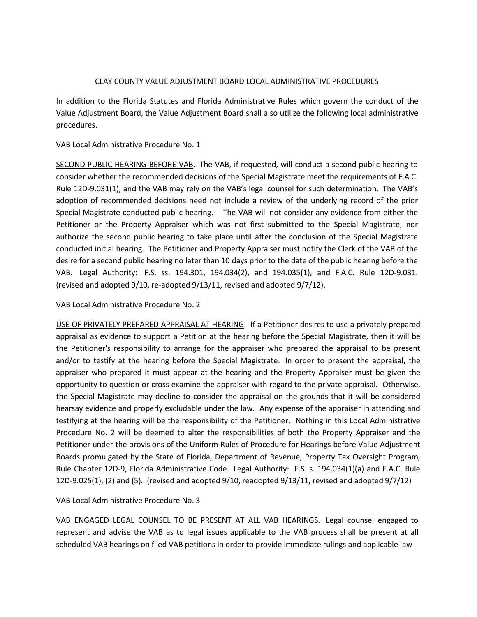## CLAY COUNTY VALUE ADJUSTMENT BOARD LOCAL ADMINISTRATIVE PROCEDURES

In addition to the Florida Statutes and Florida Administrative Rules which govern the conduct of the Value Adjustment Board, the Value Adjustment Board shall also utilize the following local administrative procedures.

VAB Local Administrative Procedure No. 1

SECOND PUBLIC HEARING BEFORE VAB. The VAB, if requested, will conduct a second public hearing to consider whether the recommended decisions of the Special Magistrate meet the requirements of F.A.C. Rule 12D-9.031(1), and the VAB may rely on the VAB's legal counsel for such determination. The VAB's adoption of recommended decisions need not include a review of the underlying record of the prior Special Magistrate conducted public hearing. The VAB will not consider any evidence from either the Petitioner or the Property Appraiser which was not first submitted to the Special Magistrate, nor authorize the second public hearing to take place until after the conclusion of the Special Magistrate conducted initial hearing. The Petitioner and Property Appraiser must notify the Clerk of the VAB of the desire for a second public hearing no later than 10 days prior to the date of the public hearing before the VAB. Legal Authority: F.S. ss. 194.301, 194.034(2), and 194.035(1), and F.A.C. Rule 12D-9.031. (revised and adopted 9/10, re-adopted 9/13/11, revised and adopted 9/7/12).

VAB Local Administrative Procedure No. 2

USE OF PRIVATELY PREPARED APPRAISAL AT HEARING. If a Petitioner desires to use a privately prepared appraisal as evidence to support a Petition at the hearing before the Special Magistrate, then it will be the Petitioner's responsibility to arrange for the appraiser who prepared the appraisal to be present and/or to testify at the hearing before the Special Magistrate. In order to present the appraisal, the appraiser who prepared it must appear at the hearing and the Property Appraiser must be given the opportunity to question or cross examine the appraiser with regard to the private appraisal. Otherwise, the Special Magistrate may decline to consider the appraisal on the grounds that it will be considered hearsay evidence and properly excludable under the law. Any expense of the appraiser in attending and testifying at the hearing will be the responsibility of the Petitioner. Nothing in this Local Administrative Procedure No. 2 will be deemed to alter the responsibilities of both the Property Appraiser and the Petitioner under the provisions of the Uniform Rules of Procedure for Hearings before Value Adjustment Boards promulgated by the State of Florida, Department of Revenue, Property Tax Oversight Program, Rule Chapter 12D-9, Florida Administrative Code. Legal Authority: F.S. s. 194.034(1)(a) and F.A.C. Rule 12D-9.025(1), (2) and (5). (revised and adopted 9/10, readopted 9/13/11, revised and adopted 9/7/12)

VAB Local Administrative Procedure No. 3

VAB ENGAGED LEGAL COUNSEL TO BE PRESENT AT ALL VAB HEARINGS. Legal counsel engaged to represent and advise the VAB as to legal issues applicable to the VAB process shall be present at all scheduled VAB hearings on filed VAB petitions in order to provide immediate rulings and applicable law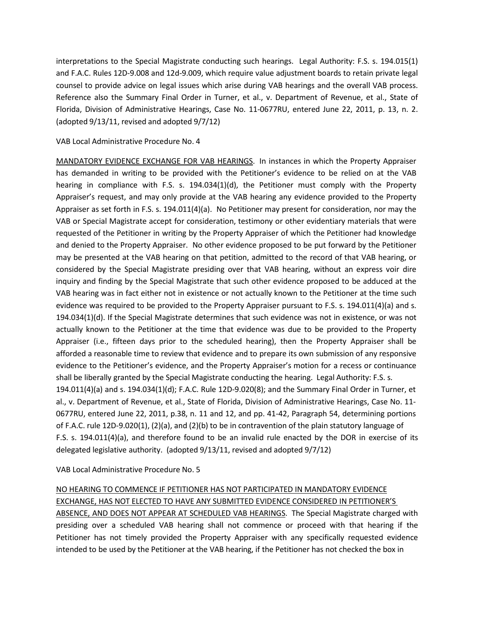interpretations to the Special Magistrate conducting such hearings. Legal Authority: F.S. s. 194.015(1) and F.A.C. Rules 12D-9.008 and 12d-9.009, which require value adjustment boards to retain private legal counsel to provide advice on legal issues which arise during VAB hearings and the overall VAB process. Reference also the Summary Final Order in Turner, et al., v. Department of Revenue, et al., State of Florida, Division of Administrative Hearings, Case No. 11-0677RU, entered June 22, 2011, p. 13, n. 2. (adopted 9/13/11, revised and adopted 9/7/12)

VAB Local Administrative Procedure No. 4

MANDATORY EVIDENCE EXCHANGE FOR VAB HEARINGS. In instances in which the Property Appraiser has demanded in writing to be provided with the Petitioner's evidence to be relied on at the VAB hearing in compliance with F.S. s. 194.034(1)(d), the Petitioner must comply with the Property Appraiser's request, and may only provide at the VAB hearing any evidence provided to the Property Appraiser as set forth in F.S. s. 194.011(4)(a). No Petitioner may present for consideration, nor may the VAB or Special Magistrate accept for consideration, testimony or other evidentiary materials that were requested of the Petitioner in writing by the Property Appraiser of which the Petitioner had knowledge and denied to the Property Appraiser. No other evidence proposed to be put forward by the Petitioner may be presented at the VAB hearing on that petition, admitted to the record of that VAB hearing, or considered by the Special Magistrate presiding over that VAB hearing, without an express voir dire inquiry and finding by the Special Magistrate that such other evidence proposed to be adduced at the VAB hearing was in fact either not in existence or not actually known to the Petitioner at the time such evidence was required to be provided to the Property Appraiser pursuant to F.S. s. 194.011(4)(a) and s. 194.034(1)(d). If the Special Magistrate determines that such evidence was not in existence, or was not actually known to the Petitioner at the time that evidence was due to be provided to the Property Appraiser (i.e., fifteen days prior to the scheduled hearing), then the Property Appraiser shall be afforded a reasonable time to review that evidence and to prepare its own submission of any responsive evidence to the Petitioner's evidence, and the Property Appraiser's motion for a recess or continuance shall be liberally granted by the Special Magistrate conducting the hearing. Legal Authority: F.S. s. 194.011(4)(a) and s. 194.034(1)(d); F.A.C. Rule 12D-9.020(8); and the Summary Final Order in Turner, et al., v. Department of Revenue, et al., State of Florida, Division of Administrative Hearings, Case No. 11- 0677RU, entered June 22, 2011, p.38, n. 11 and 12, and pp. 41-42, Paragraph 54, determining portions of F.A.C. rule 12D-9.020(1), (2)(a), and (2)(b) to be in contravention of the plain statutory language of F.S. s. 194.011(4)(a), and therefore found to be an invalid rule enacted by the DOR in exercise of its delegated legislative authority. (adopted 9/13/11, revised and adopted 9/7/12)

VAB Local Administrative Procedure No. 5

## NO HEARING TO COMMENCE IF PETITIONER HAS NOT PARTICIPATED IN MANDATORY EVIDENCE EXCHANGE, HAS NOT ELECTED TO HAVE ANY SUBMITTED EVIDENCE CONSIDERED IN PETITIONER'S ABSENCE, AND DOES NOT APPEAR AT SCHEDULED VAB HEARINGS. The Special Magistrate charged with presiding over a scheduled VAB hearing shall not commence or proceed with that hearing if the

Petitioner has not timely provided the Property Appraiser with any specifically requested evidence intended to be used by the Petitioner at the VAB hearing, if the Petitioner has not checked the box in